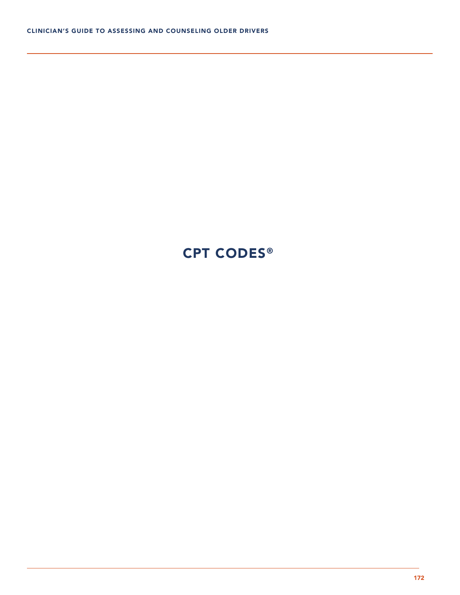# CPT CODES®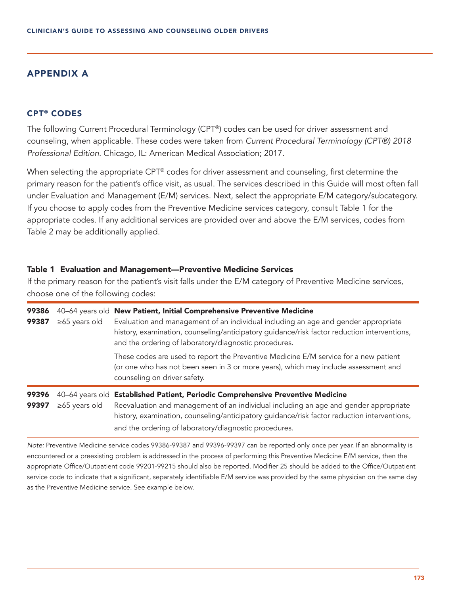## APPENDIX A

## CPT® CODES

The following Current Procedural Terminology (CPT®) codes can be used for driver assessment and counseling, when applicable. These codes were taken from *Current Procedural Terminology (CPT®) 2018 Professional Edition*. Chicago, IL: American Medical Association; 2017.

When selecting the appropriate CPT® codes for driver assessment and counseling, first determine the primary reason for the patient's office visit, as usual. The services described in this Guide will most often fall under Evaluation and Management (E/M) services. Next, select the appropriate E/M category/subcategory. If you choose to apply codes from the Preventive Medicine services category, consult Table 1 for the appropriate codes. If any additional services are provided over and above the E/M services, codes from Table 2 may be additionally applied.

#### Table 1 Evaluation and Management—Preventive Medicine Services

If the primary reason for the patient's visit falls under the E/M category of Preventive Medicine services, choose one of the following codes:

| 99386<br>99387 | $\geq 65$ years old                    | 40-64 years old New Patient, Initial Comprehensive Preventive Medicine<br>Evaluation and management of an individual including an age and gender appropriate<br>history, examination, counseling/anticipatory guidance/risk factor reduction interventions,<br>and the ordering of laboratory/diagnostic procedures.   |
|----------------|----------------------------------------|------------------------------------------------------------------------------------------------------------------------------------------------------------------------------------------------------------------------------------------------------------------------------------------------------------------------|
|                |                                        | These codes are used to report the Preventive Medicine E/M service for a new patient<br>(or one who has not been seen in 3 or more years), which may include assessment and<br>counseling on driver safety.                                                                                                            |
| 99396<br>99397 | 40–64 years old<br>$\geq 65$ years old | <b>Established Patient, Periodic Comprehensive Preventive Medicine</b><br>Reevaluation and management of an individual including an age and gender appropriate<br>history, examination, counseling/anticipatory guidance/risk factor reduction interventions,<br>and the ordering of laboratory/diagnostic procedures. |

*Note:* Preventive Medicine service codes 99386-99387 and 99396-99397 can be reported only once per year. If an abnormality is encountered or a preexisting problem is addressed in the process of performing this Preventive Medicine E/M service, then the appropriate Office/Outpatient code 99201-99215 should also be reported. Modifier 25 should be added to the Office/Outpatient service code to indicate that a significant, separately identifiable E/M service was provided by the same physician on the same day as the Preventive Medicine service. See example below.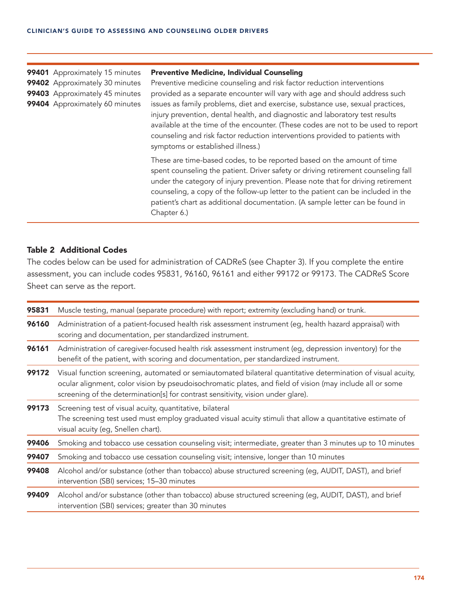#### 99401 Approximately 15 minutes Preventive Medicine, Individual Counseling

99402 Approximately 30 minutes Preventive medicine counseling and risk factor reduction interventions 99403 Approximately 45 minutes provided as a separate encounter will vary with age and should address such 99404 Approximately 60 minutes issues as family problems, diet and exercise, substance use, sexual practices, injury prevention, dental health, and diagnostic and laboratory test results available at the time of the encounter. (These codes are not to be used to report counseling and risk factor reduction interventions provided to patients with symptoms or established illness.)

> These are time-based codes, to be reported based on the amount of time spent counseling the patient. Driver safety or driving retirement counseling fall under the category of injury prevention. Please note that for driving retirement counseling, a copy of the follow-up letter to the patient can be included in the patient's chart as additional documentation. (A sample letter can be found in Chapter 6.)

## Table 2 Additional Codes

The codes below can be used for administration of CADReS (see Chapter 3). If you complete the entire assessment, you can include codes 95831, 96160, 96161 and either 99172 or 99173. The CADReS Score Sheet can serve as the report.

| 95831 | Muscle testing, manual (separate procedure) with report; extremity (excluding hand) or trunk.                                                                                                                                                                                                                 |  |  |
|-------|---------------------------------------------------------------------------------------------------------------------------------------------------------------------------------------------------------------------------------------------------------------------------------------------------------------|--|--|
| 96160 | Administration of a patient-focused health risk assessment instrument (eg, health hazard appraisal) with<br>scoring and documentation, per standardized instrument.                                                                                                                                           |  |  |
| 96161 | Administration of caregiver-focused health risk assessment instrument (eg, depression inventory) for the<br>benefit of the patient, with scoring and documentation, per standardized instrument.                                                                                                              |  |  |
| 99172 | Visual function screening, automated or semiautomated bilateral quantitative determination of visual acuity,<br>ocular alignment, color vision by pseudoisochromatic plates, and field of vision (may include all or some<br>screening of the determination[s] for contrast sensitivity, vision under glare). |  |  |
| 99173 | Screening test of visual acuity, quantitative, bilateral<br>The screening test used must employ graduated visual acuity stimuli that allow a quantitative estimate of<br>visual acuity (eg, Snellen chart).                                                                                                   |  |  |
| 99406 | Smoking and tobacco use cessation counseling visit; intermediate, greater than 3 minutes up to 10 minutes                                                                                                                                                                                                     |  |  |
| 99407 | Smoking and tobacco use cessation counseling visit; intensive, longer than 10 minutes                                                                                                                                                                                                                         |  |  |
| 99408 | Alcohol and/or substance (other than tobacco) abuse structured screening (eg, AUDIT, DAST), and brief<br>intervention (SBI) services; 15-30 minutes                                                                                                                                                           |  |  |
| 99409 | Alcohol and/or substance (other than tobacco) abuse structured screening (eg, AUDIT, DAST), and brief<br>intervention (SBI) services; greater than 30 minutes                                                                                                                                                 |  |  |